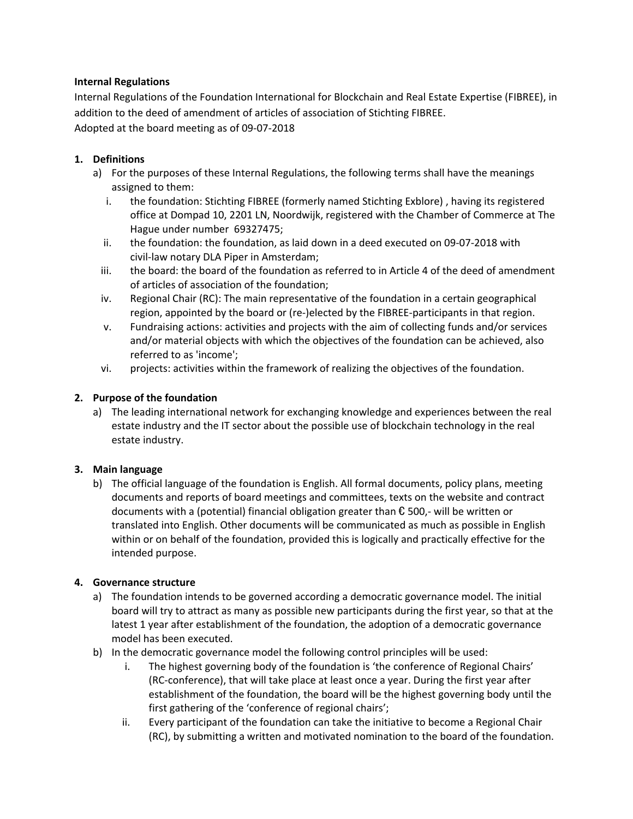## **Internal Regulations**

Internal Regulations of the Foundation International for Blockchain and Real Estate Expertise (FIBREE), in addition to the deed of amendment of articles of association of Stichting FIBREE. Adopted at the board meeting as of 09-07-2018

## **1. Definitions**

- a) For the purposes of these Internal Regulations, the following terms shall have the meanings assigned to them:
	- i. the foundation: Stichting FIBREE (formerly named Stichting Exblore) , having its registered office at Dompad 10, 2201 LN, Noordwijk, registered with the Chamber of Commerce at The Hague under number 69327475;
	- ii. the foundation: the foundation, as laid down in a deed executed on 09-07-2018 with civil-law notary DLA Piper in Amsterdam;
	- iii. the board: the board of the foundation as referred to in Article 4 of the deed of amendment of articles of association of the foundation;
	- iv. Regional Chair (RC): The main representative of the foundation in a certain geographical region, appointed by the board or (re-)elected by the FIBREE-participants in that region.
	- v. Fundraising actions: activities and projects with the aim of collecting funds and/or services and/or material objects with which the objectives of the foundation can be achieved, also referred to as 'income';
	- vi. projects: activities within the framework of realizing the objectives of the foundation.

## **2. Purpose of the foundation**

a) The leading international network for exchanging knowledge and experiences between the real estate industry and the IT sector about the possible use of blockchain technology in the real estate industry.

### **3. Main language**

b) The official language of the foundation is English. All formal documents, policy plans, meeting documents and reports of board meetings and committees, texts on the website and contract documents with a (potential) financial obligation greater than € 500,- will be written or translated into English. Other documents will be communicated as much as possible in English within or on behalf of the foundation, provided this is logically and practically effective for the intended purpose.

### **4. Governance structure**

- a) The foundation intends to be governed according a democratic governance model. The initial board will try to attract as many as possible new participants during the first year, so that at the latest 1 year after establishment of the foundation, the adoption of a democratic governance model has been executed.
- b) In the democratic governance model the following control principles will be used:
	- i. The highest governing body of the foundation is 'the conference of Regional Chairs' (RC-conference), that will take place at least once a year. During the first year after establishment of the foundation, the board will be the highest governing body until the first gathering of the 'conference of regional chairs';
	- ii. Every participant of the foundation can take the initiative to become a Regional Chair (RC), by submitting a written and motivated nomination to the board of the foundation.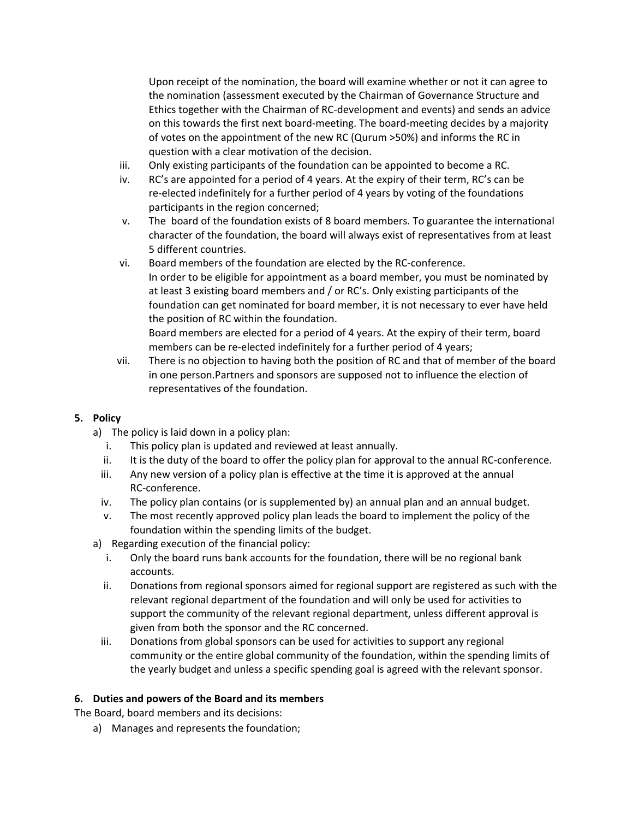Upon receipt of the nomination, the board will examine whether or not it can agree to the nomination (assessment executed by the Chairman of Governance Structure and Ethics together with the Chairman of RC-development and events) and sends an advice on this towards the first next board-meeting. The board-meeting decides by a majority of votes on the appointment of the new RC (Qurum >50%) and informs the RC in question with a clear motivation of the decision.

- iii. Only existing participants of the foundation can be appointed to become a RC.
- iv. RC's are appointed for a period of 4 years. At the expiry of their term, RC's can be re-elected indefinitely for a further period of 4 years by voting of the foundations participants in the region concerned;
- v. The board of the foundation exists of 8 board members. To guarantee the international character of the foundation, the board will always exist of representatives from at least 5 different countries.
- vi. Board members of the foundation are elected by the RC-conference. In order to be eligible for appointment as a board member, you must be nominated by at least 3 existing board members and / or RC's. Only existing participants of the foundation can get nominated for board member, it is not necessary to ever have held the position of RC within the foundation. Board members are elected for a period of 4 years. At the expiry of their term, board members can be re-elected indefinitely for a further period of 4 years;
- vii. There is no objection to having both the position of RC and that of member of the board in one person.Partners and sponsors are supposed not to influence the election of representatives of the foundation.

# **5. Policy**

- a) The policy is laid down in a policy plan:
	- i. This policy plan is updated and reviewed at least annually.
	- ii. It is the duty of the board to offer the policy plan for approval to the annual RC-conference.
	- iii. Any new version of a policy plan is effective at the time it is approved at the annual RC-conference.
	- iv. The policy plan contains (or is supplemented by) an annual plan and an annual budget.
	- v. The most recently approved policy plan leads the board to implement the policy of the foundation within the spending limits of the budget.
- a) Regarding execution of the financial policy:
	- i. Only the board runs bank accounts for the foundation, there will be no regional bank accounts.
	- ii. Donations from regional sponsors aimed for regional support are registered as such with the relevant regional department of the foundation and will only be used for activities to support the community of the relevant regional department, unless different approval is given from both the sponsor and the RC concerned.
	- iii. Donations from global sponsors can be used for activities to support any regional community or the entire global community of the foundation, within the spending limits of the yearly budget and unless a specific spending goal is agreed with the relevant sponsor.

### **6. Duties and powers of the Board and its members**

The Board, board members and its decisions:

a) Manages and represents the foundation;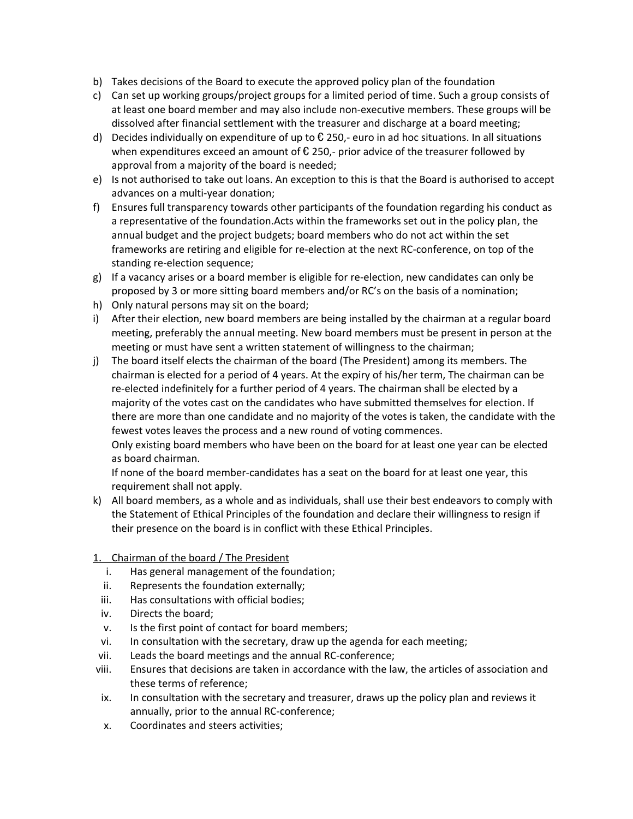- b) Takes decisions of the Board to execute the approved policy plan of the foundation
- c) Can set up working groups/project groups for a limited period of time. Such a group consists of at least one board member and may also include non-executive members. These groups will be dissolved after financial settlement with the treasurer and discharge at a board meeting;
- d) Decides individually on expenditure of up to  $\epsilon$  250,- euro in ad hoc situations. In all situations when expenditures exceed an amount of  $\epsilon$  250,- prior advice of the treasurer followed by approval from a majority of the board is needed;
- e) Is not authorised to take out loans. An exception to this is that the Board is authorised to accept advances on a multi-year donation;
- f) Ensures full transparency towards other participants of the foundation regarding his conduct as a representative of the foundation.Acts within the frameworks set out in the policy plan, the annual budget and the project budgets; board members who do not act within the set frameworks are retiring and eligible for re-election at the next RC-conference, on top of the standing re-election sequence;
- g) If a vacancy arises or a board member is eligible for re-election, new candidates can only be proposed by 3 or more sitting board members and/or RC's on the basis of a nomination;
- h) Only natural persons may sit on the board;
- i) After their election, new board members are being installed by the chairman at a regular board meeting, preferably the annual meeting. New board members must be present in person at the meeting or must have sent a written statement of willingness to the chairman;
- j) The board itself elects the chairman of the board (The President) among its members. The chairman is elected for a period of 4 years. At the expiry of his/her term, The chairman can be re-elected indefinitely for a further period of 4 years. The chairman shall be elected by a majority of the votes cast on the candidates who have submitted themselves for election. If there are more than one candidate and no majority of the votes is taken, the candidate with the fewest votes leaves the process and a new round of voting commences.

Only existing board members who have been on the board for at least one year can be elected as board chairman.

If none of the board member-candidates has a seat on the board for at least one year, this requirement shall not apply.

- k) All board members, as a whole and as individuals, shall use their best endeavors to comply with the Statement of Ethical Principles of the foundation and declare their willingness to resign if their presence on the board is in conflict with these Ethical Principles.
- 1. Chairman of the board / The President
	- i. Has general management of the foundation;
	- ii. Represents the foundation externally;
	- iii. Has consultations with official bodies;
	- iv. Directs the board;
	- v. Is the first point of contact for board members;
	- vi. In consultation with the secretary, draw up the agenda for each meeting;
- vii. Leads the board meetings and the annual RC-conference;
- viii. Ensures that decisions are taken in accordance with the law, the articles of association and these terms of reference;
- ix. In consultation with the secretary and treasurer, draws up the policy plan and reviews it annually, prior to the annual RC-conference;
- x. Coordinates and steers activities;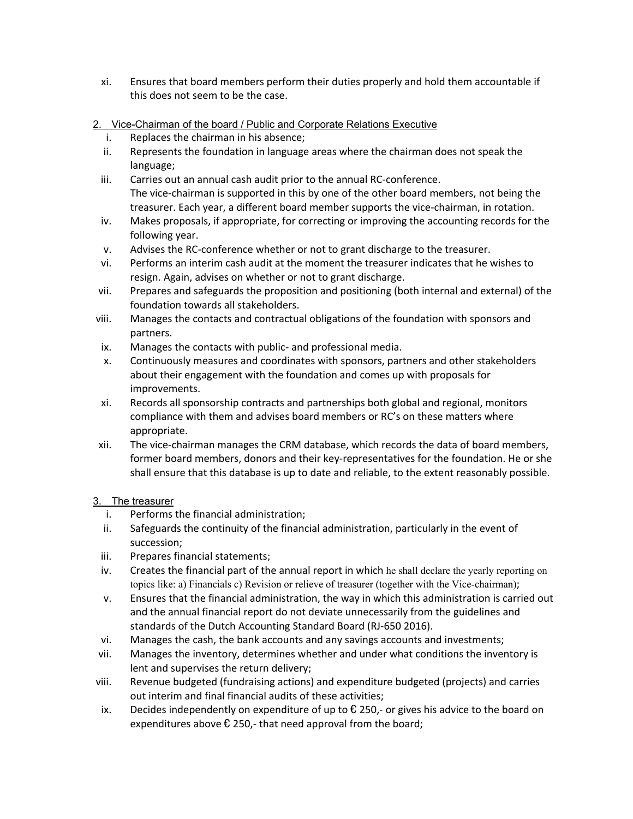- xi. Ensures that board members perform their duties properly and hold them accountable if this does not seem to be the case.
- 2. Vice-Chairman of the board / Public and Corporate Relations Executive
	- i. Replaces the chairman in his absence;
	- ii. Represents the foundation in language areas where the chairman does not speak the language;
	- iii. Carries out an annual cash audit prior to the annual RC-conference. The vice-chairman is supported in this by one of the other board members, not being the treasurer. Each year, a different board member supports the vice-chairman, in rotation.
	- iv. Makes proposals, if appropriate, for correcting or improving the accounting records for the following year.
	- v. Advises the RC-conference whether or not to grant discharge to the treasurer.
	- vi. Performs an interim cash audit at the moment the treasurer indicates that he wishes to resign. Again, advises on whether or not to grant discharge.
- vii. Prepares and safeguards the proposition and positioning (both internal and external) of the foundation towards all stakeholders.
- viii. Manages the contacts and contractual obligations of the foundation with sponsors and partners.
- ix. Manages the contacts with public- and professional media.
- x. Continuously measures and coordinates with sponsors, partners and other stakeholders about their engagement with the foundation and comes up with proposals for improvements.
- xi. Records all sponsorship contracts and partnerships both global and regional, monitors compliance with them and advises board members or RC's on these matters where appropriate.
- xii. The vice-chairman manages the CRM database, which records the data of board members, former board members, donors and their key-representatives for the foundation. He or she shall ensure that this database is up to date and reliable, to the extent reasonably possible.

### 3. The treasurer

- i. Performs the financial administration;
- ii. Safeguards the continuity of the financial administration, particularly in the event of succession;
- iii. Prepares financial statements;
- iv. Creates the financial part of the annual report in which he shall declare the yearly reporting on topics like: a) Financials c) Revision or relieve of treasurer (together with the Vice-chairman);
- v. Ensures that the financial administration, the way in which this administration is carried out and the annual financial report do not deviate unnecessarily from the guidelines and standards of the Dutch Accounting Standard Board (RJ-650 2016).
- vi. Manages the cash, the bank accounts and any savings accounts and investments;
- vii. Manages the inventory, determines whether and under what conditions the inventory is lent and supervises the return delivery;
- viii. Revenue budgeted (fundraising actions) and expenditure budgeted (projects) and carries out interim and final financial audits of these activities;
- ix. Decides independently on expenditure of up to  $\epsilon$  250,- or gives his advice to the board on expenditures above  $\epsilon$  250,- that need approval from the board;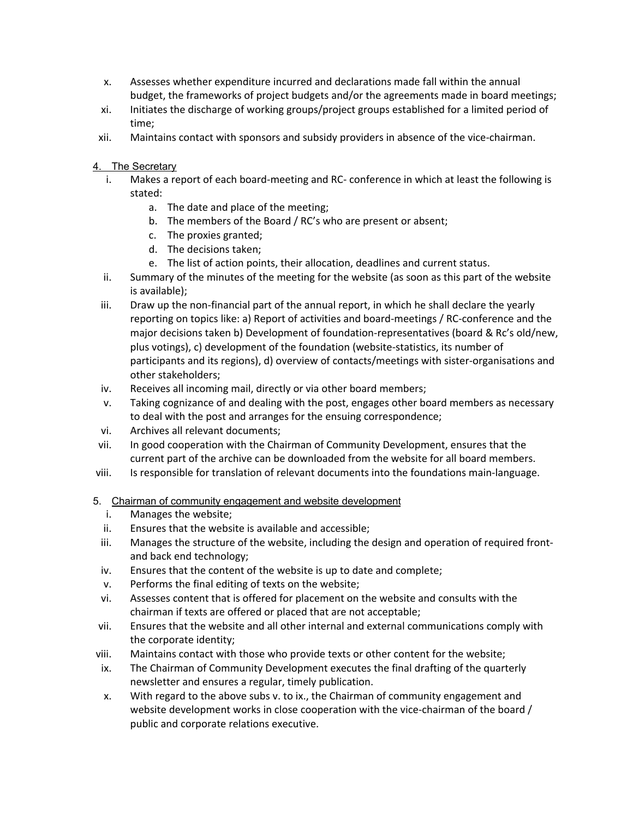- x. Assesses whether expenditure incurred and declarations made fall within the annual budget, the frameworks of project budgets and/or the agreements made in board meetings;
- xi. Initiates the discharge of working groups/project groups established for a limited period of time;
- xii. Maintains contact with sponsors and subsidy providers in absence of the vice-chairman.
- 4. The Secretary
	- i. Makes a report of each board-meeting and RC- conference in which at least the following is stated:
		- a. The date and place of the meeting;
		- b. The members of the Board / RC's who are present or absent;
		- c. The proxies granted;
		- d. The decisions taken;
		- e. The list of action points, their allocation, deadlines and current status.
	- ii. Summary of the minutes of the meeting for the website (as soon as this part of the website is available);
	- iii. Draw up the non-financial part of the annual report, in which he shall declare the yearly reporting on topics like: a) Report of activities and board-meetings / RC-conference and the major decisions taken b) Development of foundation-representatives (board & Rc's old/new, plus votings), c) development of the foundation (website-statistics, its number of participants and its regions), d) overview of contacts/meetings with sister-organisations and other stakeholders;
	- iv. Receives all incoming mail, directly or via other board members;
	- v. Taking cognizance of and dealing with the post, engages other board members as necessary to deal with the post and arranges for the ensuing correspondence;
	- vi. Archives all relevant documents;
- vii. In good cooperation with the Chairman of Community Development, ensures that the current part of the archive can be downloaded from the website for all board members.
- viii. Is responsible for translation of relevant documents into the foundations main-language.
- 5. Chairman of community engagement and website development
	- i. Manages the website;
	- ii. Ensures that the website is available and accessible;
	- iii. Manages the structure of the website, including the design and operation of required frontand back end technology;
	- iv. Ensures that the content of the website is up to date and complete;
	- v. Performs the final editing of texts on the website;
- vi. Assesses content that is offered for placement on the website and consults with the chairman if texts are offered or placed that are not acceptable;
- vii. Ensures that the website and all other internal and external communications comply with the corporate identity;
- viii. Maintains contact with those who provide texts or other content for the website;
- ix. The Chairman of Community Development executes the final drafting of the quarterly newsletter and ensures a regular, timely publication.
- x. With regard to the above subs v. to ix., the Chairman of community engagement and website development works in close cooperation with the vice-chairman of the board / public and corporate relations executive.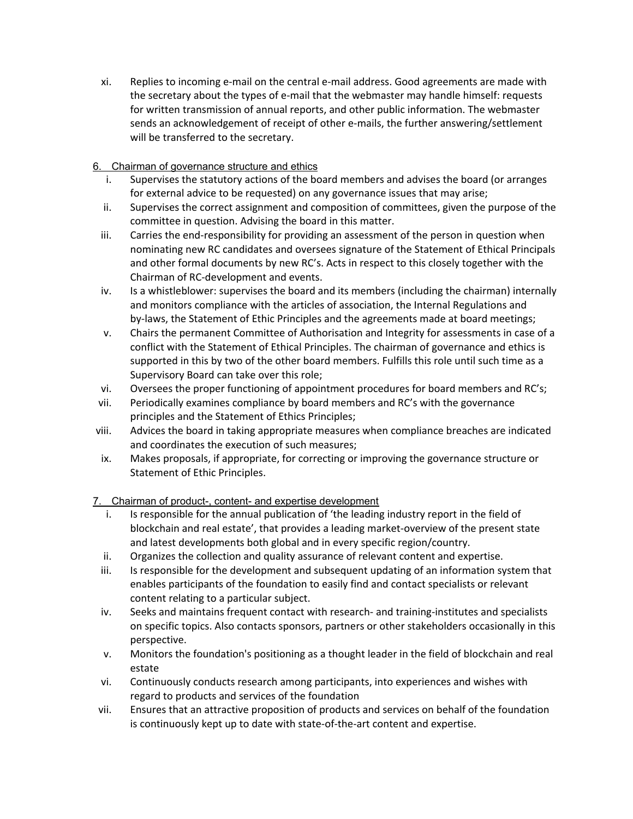xi. Replies to incoming e-mail on the central e-mail address. Good agreements are made with the secretary about the types of e-mail that the webmaster may handle himself: requests for written transmission of annual reports, and other public information. The webmaster sends an acknowledgement of receipt of other e-mails, the further answering/settlement will be transferred to the secretary.

# 6. Chairman of governance structure and ethics

- i. Supervises the statutory actions of the board members and advises the board (or arranges for external advice to be requested) on any governance issues that may arise;
- ii. Supervises the correct assignment and composition of committees, given the purpose of the committee in question. Advising the board in this matter.
- iii. Carries the end-responsibility for providing an assessment of the person in question when nominating new RC candidates and oversees signature of the Statement of Ethical Principals and other formal documents by new RC's. Acts in respect to this closely together with the Chairman of RC-development and events.
- iv. Is a whistleblower: supervises the board and its members (including the chairman) internally and monitors compliance with the articles of association, the Internal Regulations and by-laws, the Statement of Ethic Principles and the agreements made at board meetings;
- v. Chairs the permanent Committee of Authorisation and Integrity for assessments in case of a conflict with the Statement of Ethical Principles. The chairman of governance and ethics is supported in this by two of the other board members. Fulfills this role until such time as a Supervisory Board can take over this role;
- vi. Oversees the proper functioning of appointment procedures for board members and RC's;
- vii. Periodically examines compliance by board members and RC's with the governance principles and the Statement of Ethics Principles;
- viii. Advices the board in taking appropriate measures when compliance breaches are indicated and coordinates the execution of such measures;
- ix. Makes proposals, if appropriate, for correcting or improving the governance structure or Statement of Ethic Principles.

7. Chairman of product-, content- and expertise development

- i. Is responsible for the annual publication of 'the leading industry report in the field of blockchain and real estate', that provides a leading market-overview of the present state and latest developments both global and in every specific region/country.
- ii. Organizes the collection and quality assurance of relevant content and expertise.
- iii. Is responsible for the development and subsequent updating of an information system that enables participants of the foundation to easily find and contact specialists or relevant content relating to a particular subject.
- iv. Seeks and maintains frequent contact with research- and training-institutes and specialists on specific topics. Also contacts sponsors, partners or other stakeholders occasionally in this perspective.
- v. Monitors the foundation's positioning as a thought leader in the field of blockchain and real estate
- vi. Continuously conducts research among participants, into experiences and wishes with regard to products and services of the foundation
- vii. Ensures that an attractive proposition of products and services on behalf of the foundation is continuously kept up to date with state-of-the-art content and expertise.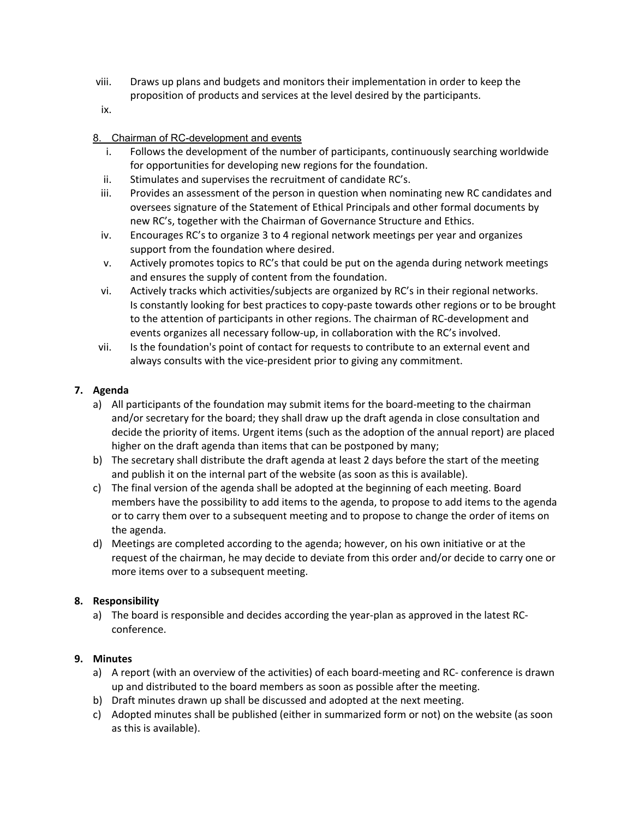- viii. Draws up plans and budgets and monitors their implementation in order to keep the proposition of products and services at the level desired by the participants.
- ix.

## 8. Chairman of RC-development and events

- i. Follows the development of the number of participants, continuously searching worldwide for opportunities for developing new regions for the foundation.
- ii. Stimulates and supervises the recruitment of candidate RC's.
- iii. Provides an assessment of the person in question when nominating new RC candidates and oversees signature of the Statement of Ethical Principals and other formal documents by new RC's, together with the Chairman of Governance Structure and Ethics.
- iv. Encourages RC's to organize 3 to 4 regional network meetings per year and organizes support from the foundation where desired.
- v. Actively promotes topics to RC's that could be put on the agenda during network meetings and ensures the supply of content from the foundation.
- vi. Actively tracks which activities/subjects are organized by RC's in their regional networks. Is constantly looking for best practices to copy-paste towards other regions or to be brought to the attention of participants in other regions. The chairman of RC-development and events organizes all necessary follow-up, in collaboration with the RC's involved.
- vii. Is the foundation's point of contact for requests to contribute to an external event and always consults with the vice-president prior to giving any commitment.

## **7. Agenda**

- a) All participants of the foundation may submit items for the board-meeting to the chairman and/or secretary for the board; they shall draw up the draft agenda in close consultation and decide the priority of items. Urgent items (such as the adoption of the annual report) are placed higher on the draft agenda than items that can be postponed by many;
- b) The secretary shall distribute the draft agenda at least 2 days before the start of the meeting and publish it on the internal part of the website (as soon as this is available).
- c) The final version of the agenda shall be adopted at the beginning of each meeting. Board members have the possibility to add items to the agenda, to propose to add items to the agenda or to carry them over to a subsequent meeting and to propose to change the order of items on the agenda.
- d) Meetings are completed according to the agenda; however, on his own initiative or at the request of the chairman, he may decide to deviate from this order and/or decide to carry one or more items over to a subsequent meeting.

# **8. Responsibility**

a) The board is responsible and decides according the year-plan as approved in the latest RCconference.

### **9. Minutes**

- a) A report (with an overview of the activities) of each board-meeting and RC- conference is drawn up and distributed to the board members as soon as possible after the meeting.
- b) Draft minutes drawn up shall be discussed and adopted at the next meeting.
- c) Adopted minutes shall be published (either in summarized form or not) on the website (as soon as this is available).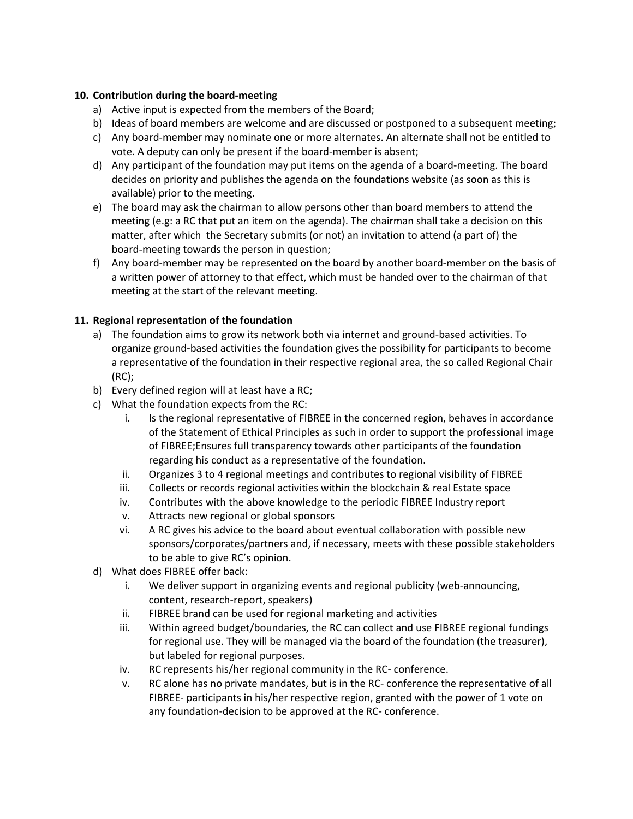## **10. Contribution during the board-meeting**

- a) Active input is expected from the members of the Board;
- b) Ideas of board members are welcome and are discussed or postponed to a subsequent meeting;
- c) Any board-member may nominate one or more alternates. An alternate shall not be entitled to vote. A deputy can only be present if the board-member is absent;
- d) Any participant of the foundation may put items on the agenda of a board-meeting. The board decides on priority and publishes the agenda on the foundations website (as soon as this is available) prior to the meeting.
- e) The board may ask the chairman to allow persons other than board members to attend the meeting (e.g: a RC that put an item on the agenda). The chairman shall take a decision on this matter, after which the Secretary submits (or not) an invitation to attend (a part of) the board-meeting towards the person in question;
- f) Any board-member may be represented on the board by another board-member on the basis of a written power of attorney to that effect, which must be handed over to the chairman of that meeting at the start of the relevant meeting.

# **11. Regional representation of the foundation**

- a) The foundation aims to grow its network both via internet and ground-based activities. To organize ground-based activities the foundation gives the possibility for participants to become a representative of the foundation in their respective regional area, the so called Regional Chair (RC);
- b) Every defined region will at least have a RC;
- c) What the foundation expects from the RC:
	- i. Is the regional representative of FIBREE in the concerned region, behaves in accordance of the Statement of Ethical Principles as such in order to support the professional image of FIBREE;Ensures full transparency towards other participants of the foundation regarding his conduct as a representative of the foundation.
	- ii. Organizes 3 to 4 regional meetings and contributes to regional visibility of FIBREE
	- iii. Collects or records regional activities within the blockchain & real Estate space
	- iv. Contributes with the above knowledge to the periodic FIBREE Industry report
	- v. Attracts new regional or global sponsors
	- vi. A RC gives his advice to the board about eventual collaboration with possible new sponsors/corporates/partners and, if necessary, meets with these possible stakeholders to be able to give RC's opinion.
- d) What does FIBREE offer back:
	- i. We deliver support in organizing events and regional publicity (web-announcing, content, research-report, speakers)
	- ii. FIBREE brand can be used for regional marketing and activities
	- iii. Within agreed budget/boundaries, the RC can collect and use FIBREE regional fundings for regional use. They will be managed via the board of the foundation (the treasurer), but labeled for regional purposes.
	- iv. RC represents his/her regional community in the RC- conference.
	- v. RC alone has no private mandates, but is in the RC- conference the representative of all FIBREE- participants in his/her respective region, granted with the power of 1 vote on any foundation-decision to be approved at the RC- conference.